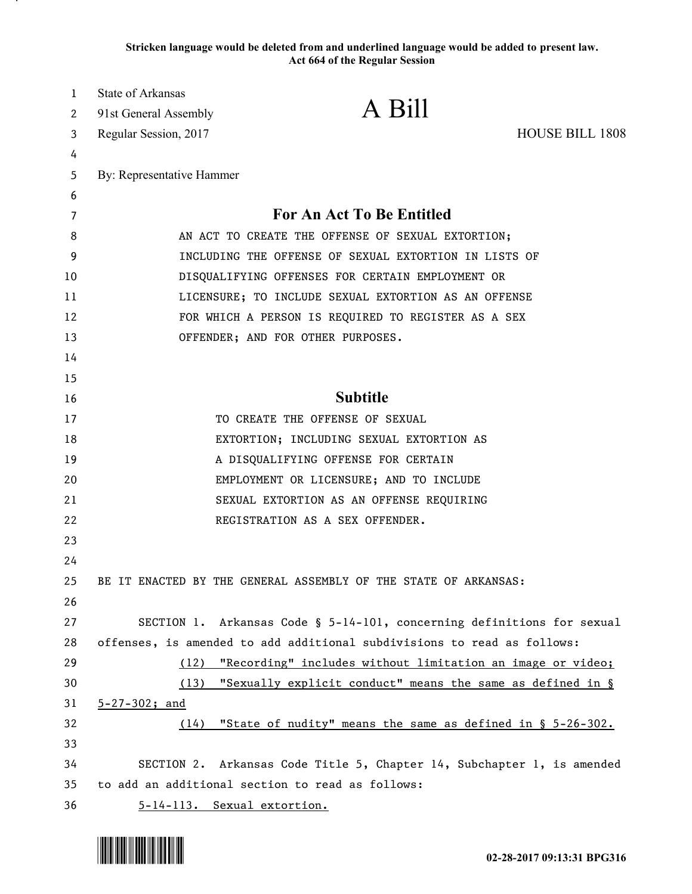**Stricken language would be deleted from and underlined language would be added to present law. Act 664 of the Regular Session**

| $\mathbf{1}$ | State of Arkansas           |                                                                         |                        |
|--------------|-----------------------------|-------------------------------------------------------------------------|------------------------|
| 2            | 91st General Assembly       | A Bill                                                                  |                        |
| 3            | Regular Session, 2017       |                                                                         | <b>HOUSE BILL 1808</b> |
| 4            |                             |                                                                         |                        |
| 5            | By: Representative Hammer   |                                                                         |                        |
| 6            |                             |                                                                         |                        |
| 7            |                             | For An Act To Be Entitled                                               |                        |
| 8            |                             | AN ACT TO CREATE THE OFFENSE OF SEXUAL EXTORTION;                       |                        |
| 9            |                             | INCLUDING THE OFFENSE OF SEXUAL EXTORTION IN LISTS OF                   |                        |
| 10           |                             | DISQUALIFYING OFFENSES FOR CERTAIN EMPLOYMENT OR                        |                        |
| 11           |                             | LICENSURE; TO INCLUDE SEXUAL EXTORTION AS AN OFFENSE                    |                        |
| 12           |                             | FOR WHICH A PERSON IS REQUIRED TO REGISTER AS A SEX                     |                        |
| 13<br>14     |                             | OFFENDER; AND FOR OTHER PURPOSES.                                       |                        |
| 15           |                             |                                                                         |                        |
| 16           |                             | <b>Subtitle</b>                                                         |                        |
| 17           |                             | TO CREATE THE OFFENSE OF SEXUAL                                         |                        |
| 18           |                             | EXTORTION; INCLUDING SEXUAL EXTORTION AS                                |                        |
| 19           |                             | A DISQUALIFYING OFFENSE FOR CERTAIN                                     |                        |
| 20           |                             | EMPLOYMENT OR LICENSURE; AND TO INCLUDE                                 |                        |
| 21           |                             | SEXUAL EXTORTION AS AN OFFENSE REQUIRING                                |                        |
| 22           |                             | REGISTRATION AS A SEX OFFENDER.                                         |                        |
| 23           |                             |                                                                         |                        |
| 24           |                             |                                                                         |                        |
| 25           |                             | BE IT ENACTED BY THE GENERAL ASSEMBLY OF THE STATE OF ARKANSAS:         |                        |
| 26           |                             |                                                                         |                        |
| 27           |                             | SECTION 1. Arkansas Code § 5-14-101, concerning definitions for sexual  |                        |
| 28           |                             | offenses, is amended to add additional subdivisions to read as follows: |                        |
| 29           | (12)                        | "Recording" includes without limitation an image or video;              |                        |
| 30           |                             | (13) "Sexually explicit conduct" means the same as defined in §         |                        |
| 31           | $5 - 27 - 302$ ; and        |                                                                         |                        |
| 32           | (14)                        | "State of nudity" means the same as defined in § 5-26-302.              |                        |
| 33           |                             |                                                                         |                        |
| 34           |                             | SECTION 2. Arkansas Code Title 5, Chapter 14, Subchapter 1, is amended  |                        |
| 35           |                             | to add an additional section to read as follows:                        |                        |
| 36           | 5-14-113. Sexual extortion. |                                                                         |                        |

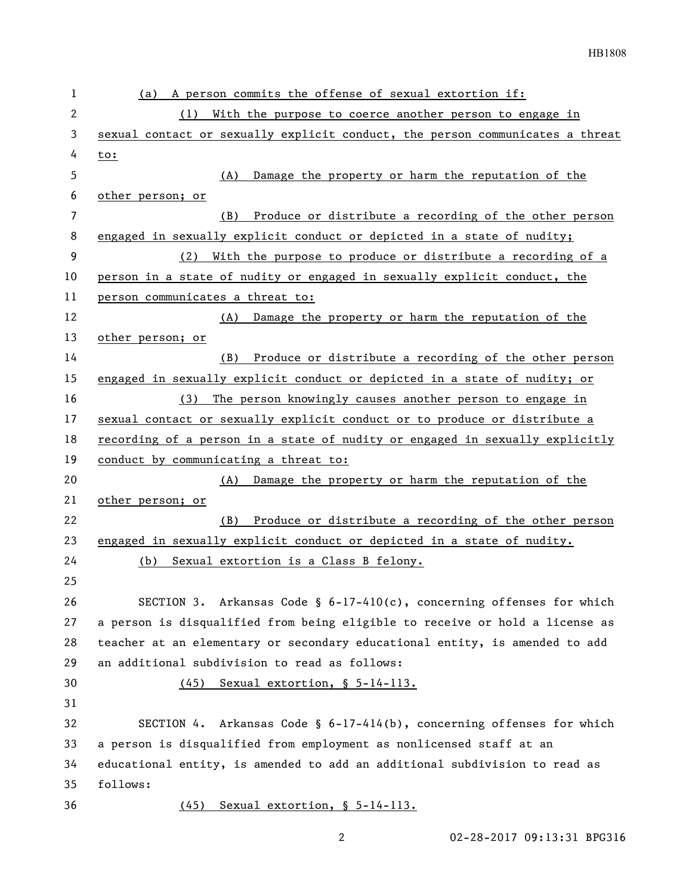| $\overline{c}$<br>With the purpose to coerce another person to engage in<br>(1)<br>3<br>4<br>to:<br>5<br>Damage the property or harm the reputation of the<br>(A)<br>6<br>other person; or<br>7<br>Produce or distribute a recording of the other person<br>(B)<br>8<br>engaged in sexually explicit conduct or depicted in a state of nudity;<br>9<br>With the purpose to produce or distribute a recording of a<br>(2)<br>10<br>person in a state of nudity or engaged in sexually explicit conduct, the<br>11<br>person communicates a threat to:<br>12<br>Damage the property or harm the reputation of the<br>(A)<br>13<br>other person; or<br>14<br>Produce or distribute a recording of the other person<br>(B)<br>15<br>engaged in sexually explicit conduct or depicted in a state of nudity; or<br>16<br>The person knowingly causes another person to engage in<br>(3)<br>17<br>sexual contact or sexually explicit conduct or to produce or distribute a<br>18<br>19<br>conduct by communicating a threat to:<br>20<br>Damage the property or harm the reputation of the<br>(A)<br>21<br>other person; or<br>22<br>(B) Produce or distribute a recording of the other person<br>23<br>engaged in sexually explicit conduct or depicted in a state of nudity.<br>24<br>Sexual extortion is a Class B felony.<br>(b)<br>25<br>26<br>27<br>a person is disqualified from being eligible to receive or hold a license as<br>28<br>teacher at an elementary or secondary educational entity, is amended to add<br>29<br>an additional subdivision to read as follows:<br>30<br>(45) Sexual extortion, § 5-14-113.<br>31<br>32<br>a person is disqualified from employment as nonlicensed staff at an<br>33<br>34<br>educational entity, is amended to add an additional subdivision to read as<br>35<br>follows: | 1  | A person commits the offense of sexual extortion if:<br>(a)                   |  |  |
|-------------------------------------------------------------------------------------------------------------------------------------------------------------------------------------------------------------------------------------------------------------------------------------------------------------------------------------------------------------------------------------------------------------------------------------------------------------------------------------------------------------------------------------------------------------------------------------------------------------------------------------------------------------------------------------------------------------------------------------------------------------------------------------------------------------------------------------------------------------------------------------------------------------------------------------------------------------------------------------------------------------------------------------------------------------------------------------------------------------------------------------------------------------------------------------------------------------------------------------------------------------------------------------------------------------------------------------------------------------------------------------------------------------------------------------------------------------------------------------------------------------------------------------------------------------------------------------------------------------------------------------------------------------------------------------------------------------------------------------------------------------------------------------------------------------------------|----|-------------------------------------------------------------------------------|--|--|
|                                                                                                                                                                                                                                                                                                                                                                                                                                                                                                                                                                                                                                                                                                                                                                                                                                                                                                                                                                                                                                                                                                                                                                                                                                                                                                                                                                                                                                                                                                                                                                                                                                                                                                                                                                                                                         |    |                                                                               |  |  |
|                                                                                                                                                                                                                                                                                                                                                                                                                                                                                                                                                                                                                                                                                                                                                                                                                                                                                                                                                                                                                                                                                                                                                                                                                                                                                                                                                                                                                                                                                                                                                                                                                                                                                                                                                                                                                         |    | sexual contact or sexually explicit conduct, the person communicates a threat |  |  |
|                                                                                                                                                                                                                                                                                                                                                                                                                                                                                                                                                                                                                                                                                                                                                                                                                                                                                                                                                                                                                                                                                                                                                                                                                                                                                                                                                                                                                                                                                                                                                                                                                                                                                                                                                                                                                         |    |                                                                               |  |  |
|                                                                                                                                                                                                                                                                                                                                                                                                                                                                                                                                                                                                                                                                                                                                                                                                                                                                                                                                                                                                                                                                                                                                                                                                                                                                                                                                                                                                                                                                                                                                                                                                                                                                                                                                                                                                                         |    |                                                                               |  |  |
|                                                                                                                                                                                                                                                                                                                                                                                                                                                                                                                                                                                                                                                                                                                                                                                                                                                                                                                                                                                                                                                                                                                                                                                                                                                                                                                                                                                                                                                                                                                                                                                                                                                                                                                                                                                                                         |    |                                                                               |  |  |
|                                                                                                                                                                                                                                                                                                                                                                                                                                                                                                                                                                                                                                                                                                                                                                                                                                                                                                                                                                                                                                                                                                                                                                                                                                                                                                                                                                                                                                                                                                                                                                                                                                                                                                                                                                                                                         |    |                                                                               |  |  |
|                                                                                                                                                                                                                                                                                                                                                                                                                                                                                                                                                                                                                                                                                                                                                                                                                                                                                                                                                                                                                                                                                                                                                                                                                                                                                                                                                                                                                                                                                                                                                                                                                                                                                                                                                                                                                         |    |                                                                               |  |  |
|                                                                                                                                                                                                                                                                                                                                                                                                                                                                                                                                                                                                                                                                                                                                                                                                                                                                                                                                                                                                                                                                                                                                                                                                                                                                                                                                                                                                                                                                                                                                                                                                                                                                                                                                                                                                                         |    |                                                                               |  |  |
|                                                                                                                                                                                                                                                                                                                                                                                                                                                                                                                                                                                                                                                                                                                                                                                                                                                                                                                                                                                                                                                                                                                                                                                                                                                                                                                                                                                                                                                                                                                                                                                                                                                                                                                                                                                                                         |    |                                                                               |  |  |
|                                                                                                                                                                                                                                                                                                                                                                                                                                                                                                                                                                                                                                                                                                                                                                                                                                                                                                                                                                                                                                                                                                                                                                                                                                                                                                                                                                                                                                                                                                                                                                                                                                                                                                                                                                                                                         |    |                                                                               |  |  |
|                                                                                                                                                                                                                                                                                                                                                                                                                                                                                                                                                                                                                                                                                                                                                                                                                                                                                                                                                                                                                                                                                                                                                                                                                                                                                                                                                                                                                                                                                                                                                                                                                                                                                                                                                                                                                         |    |                                                                               |  |  |
|                                                                                                                                                                                                                                                                                                                                                                                                                                                                                                                                                                                                                                                                                                                                                                                                                                                                                                                                                                                                                                                                                                                                                                                                                                                                                                                                                                                                                                                                                                                                                                                                                                                                                                                                                                                                                         |    |                                                                               |  |  |
|                                                                                                                                                                                                                                                                                                                                                                                                                                                                                                                                                                                                                                                                                                                                                                                                                                                                                                                                                                                                                                                                                                                                                                                                                                                                                                                                                                                                                                                                                                                                                                                                                                                                                                                                                                                                                         |    |                                                                               |  |  |
|                                                                                                                                                                                                                                                                                                                                                                                                                                                                                                                                                                                                                                                                                                                                                                                                                                                                                                                                                                                                                                                                                                                                                                                                                                                                                                                                                                                                                                                                                                                                                                                                                                                                                                                                                                                                                         |    |                                                                               |  |  |
|                                                                                                                                                                                                                                                                                                                                                                                                                                                                                                                                                                                                                                                                                                                                                                                                                                                                                                                                                                                                                                                                                                                                                                                                                                                                                                                                                                                                                                                                                                                                                                                                                                                                                                                                                                                                                         |    |                                                                               |  |  |
|                                                                                                                                                                                                                                                                                                                                                                                                                                                                                                                                                                                                                                                                                                                                                                                                                                                                                                                                                                                                                                                                                                                                                                                                                                                                                                                                                                                                                                                                                                                                                                                                                                                                                                                                                                                                                         |    |                                                                               |  |  |
|                                                                                                                                                                                                                                                                                                                                                                                                                                                                                                                                                                                                                                                                                                                                                                                                                                                                                                                                                                                                                                                                                                                                                                                                                                                                                                                                                                                                                                                                                                                                                                                                                                                                                                                                                                                                                         |    | recording of a person in a state of nudity or engaged in sexually explicitly  |  |  |
|                                                                                                                                                                                                                                                                                                                                                                                                                                                                                                                                                                                                                                                                                                                                                                                                                                                                                                                                                                                                                                                                                                                                                                                                                                                                                                                                                                                                                                                                                                                                                                                                                                                                                                                                                                                                                         |    |                                                                               |  |  |
|                                                                                                                                                                                                                                                                                                                                                                                                                                                                                                                                                                                                                                                                                                                                                                                                                                                                                                                                                                                                                                                                                                                                                                                                                                                                                                                                                                                                                                                                                                                                                                                                                                                                                                                                                                                                                         |    |                                                                               |  |  |
|                                                                                                                                                                                                                                                                                                                                                                                                                                                                                                                                                                                                                                                                                                                                                                                                                                                                                                                                                                                                                                                                                                                                                                                                                                                                                                                                                                                                                                                                                                                                                                                                                                                                                                                                                                                                                         |    |                                                                               |  |  |
|                                                                                                                                                                                                                                                                                                                                                                                                                                                                                                                                                                                                                                                                                                                                                                                                                                                                                                                                                                                                                                                                                                                                                                                                                                                                                                                                                                                                                                                                                                                                                                                                                                                                                                                                                                                                                         |    |                                                                               |  |  |
|                                                                                                                                                                                                                                                                                                                                                                                                                                                                                                                                                                                                                                                                                                                                                                                                                                                                                                                                                                                                                                                                                                                                                                                                                                                                                                                                                                                                                                                                                                                                                                                                                                                                                                                                                                                                                         |    |                                                                               |  |  |
|                                                                                                                                                                                                                                                                                                                                                                                                                                                                                                                                                                                                                                                                                                                                                                                                                                                                                                                                                                                                                                                                                                                                                                                                                                                                                                                                                                                                                                                                                                                                                                                                                                                                                                                                                                                                                         |    |                                                                               |  |  |
|                                                                                                                                                                                                                                                                                                                                                                                                                                                                                                                                                                                                                                                                                                                                                                                                                                                                                                                                                                                                                                                                                                                                                                                                                                                                                                                                                                                                                                                                                                                                                                                                                                                                                                                                                                                                                         |    |                                                                               |  |  |
|                                                                                                                                                                                                                                                                                                                                                                                                                                                                                                                                                                                                                                                                                                                                                                                                                                                                                                                                                                                                                                                                                                                                                                                                                                                                                                                                                                                                                                                                                                                                                                                                                                                                                                                                                                                                                         |    | SECTION 3. Arkansas Code § $6-17-410(c)$ , concerning offenses for which      |  |  |
|                                                                                                                                                                                                                                                                                                                                                                                                                                                                                                                                                                                                                                                                                                                                                                                                                                                                                                                                                                                                                                                                                                                                                                                                                                                                                                                                                                                                                                                                                                                                                                                                                                                                                                                                                                                                                         |    |                                                                               |  |  |
|                                                                                                                                                                                                                                                                                                                                                                                                                                                                                                                                                                                                                                                                                                                                                                                                                                                                                                                                                                                                                                                                                                                                                                                                                                                                                                                                                                                                                                                                                                                                                                                                                                                                                                                                                                                                                         |    |                                                                               |  |  |
|                                                                                                                                                                                                                                                                                                                                                                                                                                                                                                                                                                                                                                                                                                                                                                                                                                                                                                                                                                                                                                                                                                                                                                                                                                                                                                                                                                                                                                                                                                                                                                                                                                                                                                                                                                                                                         |    |                                                                               |  |  |
|                                                                                                                                                                                                                                                                                                                                                                                                                                                                                                                                                                                                                                                                                                                                                                                                                                                                                                                                                                                                                                                                                                                                                                                                                                                                                                                                                                                                                                                                                                                                                                                                                                                                                                                                                                                                                         |    |                                                                               |  |  |
|                                                                                                                                                                                                                                                                                                                                                                                                                                                                                                                                                                                                                                                                                                                                                                                                                                                                                                                                                                                                                                                                                                                                                                                                                                                                                                                                                                                                                                                                                                                                                                                                                                                                                                                                                                                                                         |    |                                                                               |  |  |
|                                                                                                                                                                                                                                                                                                                                                                                                                                                                                                                                                                                                                                                                                                                                                                                                                                                                                                                                                                                                                                                                                                                                                                                                                                                                                                                                                                                                                                                                                                                                                                                                                                                                                                                                                                                                                         |    | SECTION 4. Arkansas Code § $6-17-414(b)$ , concerning offenses for which      |  |  |
|                                                                                                                                                                                                                                                                                                                                                                                                                                                                                                                                                                                                                                                                                                                                                                                                                                                                                                                                                                                                                                                                                                                                                                                                                                                                                                                                                                                                                                                                                                                                                                                                                                                                                                                                                                                                                         |    |                                                                               |  |  |
|                                                                                                                                                                                                                                                                                                                                                                                                                                                                                                                                                                                                                                                                                                                                                                                                                                                                                                                                                                                                                                                                                                                                                                                                                                                                                                                                                                                                                                                                                                                                                                                                                                                                                                                                                                                                                         |    |                                                                               |  |  |
|                                                                                                                                                                                                                                                                                                                                                                                                                                                                                                                                                                                                                                                                                                                                                                                                                                                                                                                                                                                                                                                                                                                                                                                                                                                                                                                                                                                                                                                                                                                                                                                                                                                                                                                                                                                                                         |    |                                                                               |  |  |
|                                                                                                                                                                                                                                                                                                                                                                                                                                                                                                                                                                                                                                                                                                                                                                                                                                                                                                                                                                                                                                                                                                                                                                                                                                                                                                                                                                                                                                                                                                                                                                                                                                                                                                                                                                                                                         | 36 | Sexual extortion, § 5-14-113.<br>(45)                                         |  |  |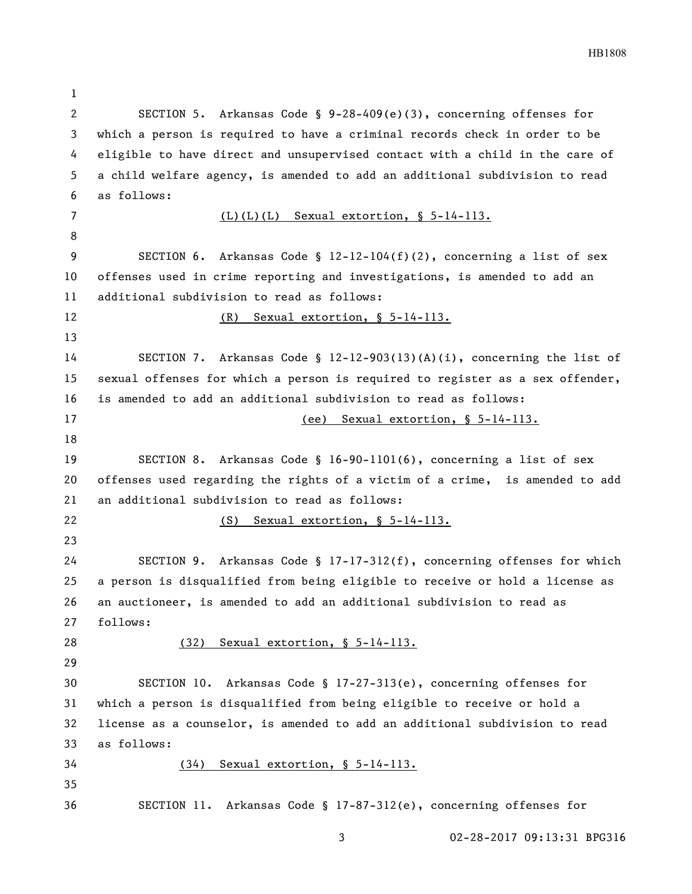SECTION 5. Arkansas Code § 9-28-409(e)(3), concerning offenses for which a person is required to have a criminal records check in order to be eligible to have direct and unsupervised contact with a child in the care of a child welfare agency, is amended to add an additional subdivision to read as follows: (L)(L)(L) Sexual extortion, § 5-14-113. SECTION 6. Arkansas Code § 12-12-104(f)(2), concerning a list of sex offenses used in crime reporting and investigations, is amended to add an additional subdivision to read as follows: (R) Sexual extortion, § 5-14-113. SECTION 7. Arkansas Code § 12-12-903(13)(A)(i), concerning the list of sexual offenses for which a person is required to register as a sex offender, is amended to add an additional subdivision to read as follows: (ee) Sexual extortion, § 5-14-113. SECTION 8. Arkansas Code § 16-90-1101(6), concerning a list of sex offenses used regarding the rights of a victim of a crime, is amended to add an additional subdivision to read as follows: (S) Sexual extortion, § 5-14-113. SECTION 9. Arkansas Code § 17-17-312(f), concerning offenses for which a person is disqualified from being eligible to receive or hold a license as an auctioneer, is amended to add an additional subdivision to read as follows: (32) Sexual extortion, § 5-14-113. SECTION 10. Arkansas Code § 17-27-313(e), concerning offenses for which a person is disqualified from being eligible to receive or hold a license as a counselor, is amended to add an additional subdivision to read as follows: (34) Sexual extortion, § 5-14-113. SECTION 11. Arkansas Code § 17-87-312(e), concerning offenses for

02-28-2017 09:13:31 BPG316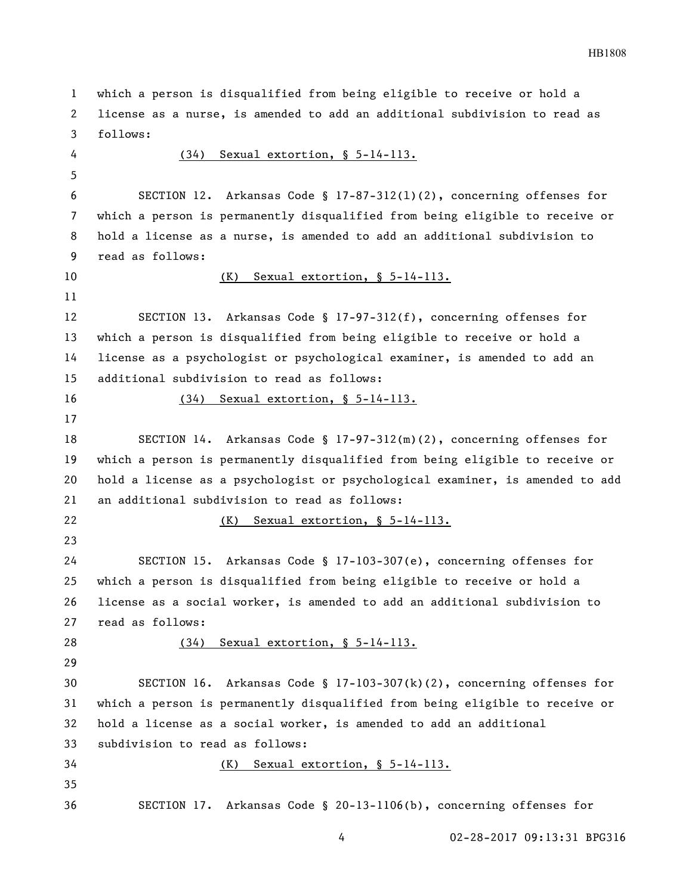which a person is disqualified from being eligible to receive or hold a license as a nurse, is amended to add an additional subdivision to read as follows: (34) Sexual extortion, § 5-14-113. SECTION 12. Arkansas Code § 17-87-312(l)(2), concerning offenses for which a person is permanently disqualified from being eligible to receive or hold a license as a nurse, is amended to add an additional subdivision to read as follows: 10 (K) Sexual extortion, § 5-14-113. SECTION 13. Arkansas Code § 17-97-312(f), concerning offenses for which a person is disqualified from being eligible to receive or hold a license as a psychologist or psychological examiner, is amended to add an additional subdivision to read as follows: (34) Sexual extortion, § 5-14-113. SECTION 14. Arkansas Code § 17-97-312(m)(2), concerning offenses for which a person is permanently disqualified from being eligible to receive or hold a license as a psychologist or psychological examiner, is amended to add an additional subdivision to read as follows: (K) Sexual extortion, § 5-14-113. SECTION 15. Arkansas Code § 17-103-307(e), concerning offenses for which a person is disqualified from being eligible to receive or hold a license as a social worker, is amended to add an additional subdivision to read as follows: (34) Sexual extortion, § 5-14-113. SECTION 16. Arkansas Code § 17-103-307(k)(2), concerning offenses for which a person is permanently disqualified from being eligible to receive or hold a license as a social worker, is amended to add an additional subdivision to read as follows: (K) Sexual extortion, § 5-14-113. SECTION 17. Arkansas Code § 20-13-1106(b), concerning offenses for

02-28-2017 09:13:31 BPG316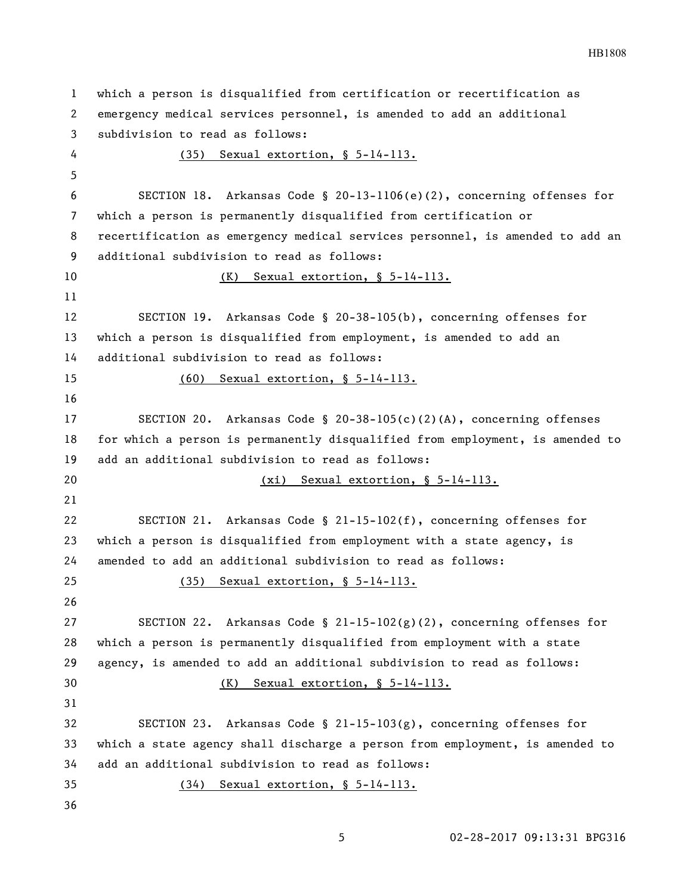which a person is disqualified from certification or recertification as emergency medical services personnel, is amended to add an additional subdivision to read as follows: (35) Sexual extortion, § 5-14-113. SECTION 18. Arkansas Code § 20-13-1106(e)(2), concerning offenses for which a person is permanently disqualified from certification or recertification as emergency medical services personnel, is amended to add an additional subdivision to read as follows: (K) Sexual extortion, § 5-14-113. SECTION 19. Arkansas Code § 20-38-105(b), concerning offenses for which a person is disqualified from employment, is amended to add an additional subdivision to read as follows: (60) Sexual extortion, § 5-14-113. SECTION 20. Arkansas Code § 20-38-105(c)(2)(A), concerning offenses for which a person is permanently disqualified from employment, is amended to add an additional subdivision to read as follows: (xi) Sexual extortion, § 5-14-113. SECTION 21. Arkansas Code § 21-15-102(f), concerning offenses for which a person is disqualified from employment with a state agency, is amended to add an additional subdivision to read as follows: (35) Sexual extortion, § 5-14-113. SECTION 22. Arkansas Code § 21-15-102(g)(2), concerning offenses for which a person is permanently disqualified from employment with a state agency, is amended to add an additional subdivision to read as follows: (K) Sexual extortion, § 5-14-113. SECTION 23. Arkansas Code § 21-15-103(g), concerning offenses for which a state agency shall discharge a person from employment, is amended to add an additional subdivision to read as follows: (34) Sexual extortion, § 5-14-113.